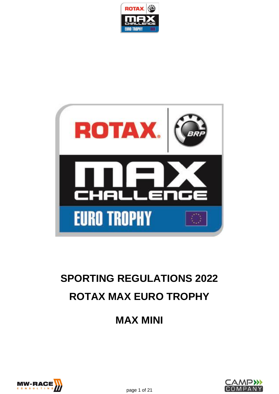



# **SPORTING REGULATIONS 2022 ROTAX MAX EURO TROPHY**

**MAX MINI**



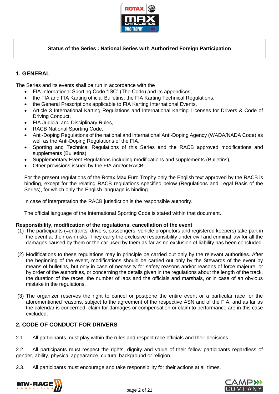

# **Status of the Series : National Series with Authorized Foreign Participation**

# **1. GENERAL**

The Series and its events shall be run in accordance with the

- FIA International Sporting Code "ISC" (The Code) and its appendices,
- the FIA and FIA Karting official Bulletins, the FIA Karting Technical Regulations,
- the General Prescriptions applicable to FIA Karting International Events,
- Article 3 International Karting Regulations and International Karting Licenses for Drivers & Code of Driving Conduct,
- FIA Judicial and Disciplinary Rules,
- RACB National Sporting Code,
- Anti-Doping Regulations of the national and international Anti-Doping Agency (WADA/NADA Code) as well as the Anti-Doping Regulations of the FIA,
- Sporting and Technical Regulations of this Series and the RACB approved modifications and supplements (Bulletins),
- Supplementary Event Regulations including modifications and supplements (Bulletins),
- Other provisions issued by the FIA and/or RACB.

For the present regulations of the Rotax Max Euro Trophy only the English text approved by the RACB is binding, except for the relating RACB regulations specified below (Regulations and Legal Basis of the Series), for which only the English language is binding.

In case of interpretation the RACB jurisdiction is the responsible authority.

The official language of the International Sporting Code is stated within that document.

## **Responsibility, modification of the regulations, cancellation of the event**

- (1) The participants (=entrants, drivers, passengers, vehicle proprietors and registered keepers) take part in the event at their own risks. They carry the exclusive responsibility under civil and criminal law for all the damages caused by them or the car used by them as far as no exclusion of liability has been concluded.
- (2) Modifications to these regulations may in principle be carried out only by the relevant authorities. After the beginning of the event, modifications should be carried out only by the Stewards of the event by means of bulletins, but only in case of necessity for safety reasons and/or reasons of force majeure, or by order of the authorities, or concerning the details given in the regulations about the length of the track, the duration of the races, the number of laps and the officials and marshals, or in case of an obvious mistake in the regulations.
- (3) The organizer reserves the right to cancel or postpone the entire event or a particular race for the aforementioned reasons, subject to the agreement of the respective ASN and of the FIA, and as far as the calendar is concerned, claim for damages or compensation or claim to performance are in this case excluded.

# **2. CODE OF CONDUCT FOR DRIVERS**

2.1. All participants must play within the rules and respect race officials and their decisions.

2.2. All participants must respect the rights, dignity and value of their fellow participants regardless of gender, ability, physical appearance, cultural background or religion.

2.3. All participants must encourage and take responsibility for their actions at all times.



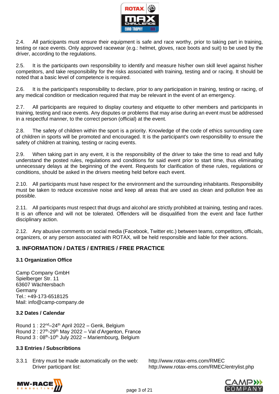

2.4. All participants must ensure their equipment is safe and race worthy, prior to taking part in training, testing or race events. Only approved racewear (e.g.: helmet, gloves, race boots and suit) to be used by the driver, according to the regulations.

2.5. It is the participants own responsibility to identify and measure his/her own skill level against his/her competitors, and take responsibility for the risks associated with training, testing and or racing. It should be noted that a basic level of competence is required.

2.6. It is the participant's responsibility to declare, prior to any participation in training, testing or racing, of any medical condition or medication required that may be relevant in the event of an emergency.

2.7. All participants are required to display courtesy and etiquette to other members and participants in training, testing and race events. Any disputes or problems that may arise during an event must be addressed in a respectful manner, to the correct person (official) at the event.

2.8. The safety of children within the sport is a priority. Knowledge of the code of ethics surrounding care of children in sports will be promoted and encouraged. It is the participant's own responsibility to ensure the safety of children at training, testing or racing events.

2.9. When taking part in any event, it is the responsibility of the driver to take the time to read and fully understand the posted rules, regulations and conditions for said event prior to start time, thus eliminating unnecessary delays at the beginning of the event. Requests for clarification of these rules, regulations or conditions, should be asked in the drivers meeting held before each event.

2.10. All participants must have respect for the environment and the surrounding inhabitants. Responsibility must be taken to reduce excessive noise and keep all areas that are used as clean and pollution free as possible.

2.11. All participants must respect that drugs and alcohol are strictly prohibited at training, testing and races. It is an offence and will not be tolerated. Offenders will be disqualified from the event and face further disciplinary action.

2.12. Any abusive comments on social media (Facebook, Twitter etc.) between teams, competitors, officials, organizers, or any person associated with ROTAX, will be held responsible and liable for their actions.

# **3. INFORMATION / DATES / ENTRIES / FREE PRACTICE**

## **3.1 Organization Office**

Camp Company GmbH Spielberger Str. 11 63607 Wächtersbach Germany Tel.: +49-173-6518125 Mail: [info@camp-company.de](mailto:info@camp-company.de)

# **3.2 Dates / Calendar**

Round 1 :  $22^{nd} - 24^{th}$  April 2022 – Genk, Belgium Round 2 : 27<sup>th</sup>-29<sup>th</sup> May 2022 – Val d'Argenton, France Round 3: 08<sup>th</sup>-10<sup>th</sup> July 2022 - Mariembourg, Belgium

## **3.3 Entries / Subscribtions**

3.3.1 Entry must be made automatically on the web: <http://www.rotax-ems.com/RMEC> Driver participant list: <http://www.rotax-ems.com/RMEC/entrylist.php>



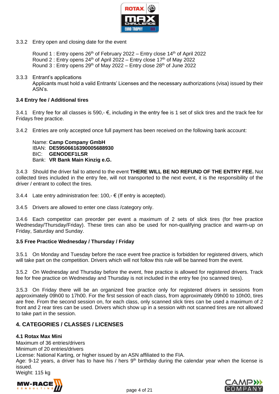

3.3.2 Entry open and closing date for the event

Round 1 : Entry opens  $26<sup>th</sup>$  of February 2022 – Entry close 14<sup>th</sup> of April 2022 Round 2 : Entry opens  $24<sup>th</sup>$  of April 2022 – Entry close 17<sup>th</sup> of May 2022 Round 3 : Entry opens  $29<sup>th</sup>$  of May 2022 – Entry close  $28<sup>th</sup>$  of June 2022

3.3.3 Entrant's applications

Applicants must hold a valid Entrants' Licenses and the necessary authorizations (visa) issued by their ASN's.

## **3.4 Entry fee / Additional tires**

3.4.1 Entry fee for all classes is 590,-  $€$ , including in the entry fee is 1 set of slick tires and the track fee for Fridays free practice.

3.4.2 Entries are only accepted once full payment has been received on the following bank account:

Name: **Camp Company GmbH** IBAN: **DE59506616390005688930** BIC: **GENODEF1LSR** Bank: **VR Bank Main Kinzig e.G.**

3.4.3 Should the driver fail to attend to the event **THERE WILL BE NO REFUND OF THE ENTRY FEE.** Not collected tires included in the entry fee, will not transported to the next event, it is the responsibility of the driver / entrant to collect the tires.

3.4.4 Late entry administration fee: 100,-  $\epsilon$  (If entry is accepted).

3.4.5 Drivers are allowed to enter one class /category only.

3.4.6 Each competitor can preorder per event a maximum of 2 sets of slick tires (for free practice Wednesday/Thursday/Friday). These tires can also be used for non-qualifying practice and warm-up on Friday, Saturday and Sunday.

## **3.5 Free Practice Wednesday / Thursday / Friday**

3.5.1 On Monday and Tuesday before the race event free practice is forbidden for registered drivers, which will take part on the competition. Drivers which will not follow this rule will be banned from the event.

3.5.2 On Wednesday and Thursday before the event, free practice is allowed for registered drivers. Track fee for free practice on Wednesday and Thursday is not included in the entry fee (no scanned tires).

3.5.3 On Friday there will be an organized free practice only for registered drivers in sessions from approximately 09h00 to 17h00. For the first session of each class, from approximately 09h00 to 10h00, tires are free. From the second session on, for each class, only scanned slick tires can be used a maximum of 2 front and 2 rear tires can be used. Drivers which show up in a session with not scanned tires are not allowed to take part in the session.

# **4. CATEGORIES / CLASSES / LICENSES**

## **4.1 Rotax Max Mini**

Maximum of 36 entries/drivers Minimum of 20 entries/drivers License: National Karting, or higher issued by an ASN affiliated to the FIA. Age: 9-12 years, a driver has to have his / hers  $9<sup>th</sup>$  birthday during the calendar year when the license is issued. Weight: 115 kg



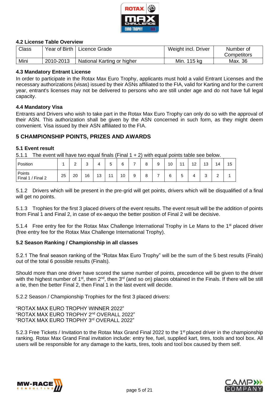

## **4.2 License Table Overview**

| <b>Class</b> | Year of Birth | Licence Grade              | Weight incl. Driver | Number of   |
|--------------|---------------|----------------------------|---------------------|-------------|
|              |               |                            |                     | Competitors |
| Mini         | 2010-2013     | National Karting or higher | Min.<br>115 kg      | Max. 36     |

#### **4.3 Mandatory Entrant License**

In order to participate in the Rotax Max Euro Trophy, applicants must hold a valid Entrant Licenses and the necessary authorizations (visas) issued by their ASNs affiliated to the FIA, valid for Karting and for the current year, entrant's licenses may not be delivered to persons who are still under age and do not have full legal capacity.

## **4.4 Mandatory Visa**

Entrants and Drivers who wish to take part in the Rotax Max Euro Trophy can only do so with the approval of their ASN. This authorization shall be given by the ASN concerned in such form, as they might deem convenient. Visa issued by their ASN affiliated to the FIA.

## **5 CHAMPIONSHIP POINTS, PRIZES AND AWARDS**

#### **5.1 Event result**

5.1.1 The event will have two equal finals (Final 1 + 2) with equal points table see below.

| Position                     |    | $\sim$<br>- | $\sqrt{2}$<br>ັ | 4  | -<br>5<br>ັ    | ⌒<br>ь |   | 8 | 9 | 10 | 11          | 12<br>. . | 13     | 14          | 15 |
|------------------------------|----|-------------|-----------------|----|----------------|--------|---|---|---|----|-------------|-----------|--------|-------------|----|
| Points<br>Final 2<br>Final 1 | 25 | 20          | 16              | 13 | $\overline{A}$ | 10     | 9 | 8 | - | 6  | -<br>∽<br>J |           | ⌒<br>ບ | $\sim$<br>- |    |

5.1.2 Drivers which will be present in the pre-grid will get points, drivers which will be disqualified of a final will get no points.

5.1.3 Trophies for the first 3 placed drivers of the event results. The event result will be the addition of points from Final 1 and Final 2, in case of ex-aequo the better position of Final 2 will be decisive.

5.1.4 Free entry fee for the Rotax Max Challenge International Trophy in Le Mans to the 1<sup>st</sup> placed driver (free entry fee for the Rotax Max Challenge International Trophy).

## **5.2 Season Ranking / Championship in all classes**

5.2.1 The final season ranking of the "Rotax Max Euro Trophy" will be the sum of the 5 best results (Finals) out of the total 6 possible results (Finals).

Should more than one driver have scored the same number of points, precedence will be given to the driver with the highest number of 1<sup>st</sup>, then 2<sup>nd</sup>, then 3<sup>rd</sup> (and so on) places obtained in the Finals. If there will be still a tie, then the better Final 2, then Final 1 in the last event will decide.

5.2.2 Season / Championship Trophies for the first 3 placed drivers:

"ROTAX MAX EURO TROPHY WINNER 2022" "ROTAX MAX EURO TROPHY 2nd OVERALL 2022" "ROTAX MAX EURO TROPHY 3rd OVERALL 2022"

5.2.3 Free Tickets / Invitation to the Rotax Max Grand Final 2022 to the 1<sup>st</sup> placed driver in the championship ranking. Rotax Max Grand Final invitation include: entry fee, fuel, supplied kart, tires, tools and tool box. All users will be responsible for any damage to the karts, tires, tools and tool box caused by them self.



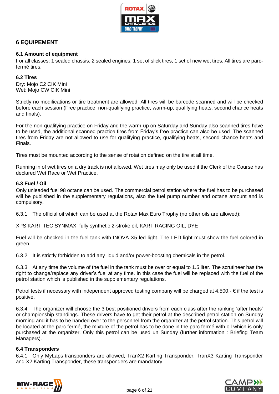

# **6 EQUIPEMENT**

## **6.1 Amount of equipment**

For all classes: 1 sealed chassis, 2 sealed engines, 1 set of slick tires, 1 set of new wet tires. All tires are parcfermé tires.

## **6.2 Tires**

Dry: Mojo C2 CIK Mini Wet: Mojo CW CIK Mini

Strictly no modifications or tire treatment are allowed. All tires will be barcode scanned and will be checked before each session (Free practice, non-qualifying practice, warm-up, qualifying heats, second chance heats and finals).

For the non-qualifying practice on Friday and the warm-up on Saturday and Sunday also scanned tires have to be used, the additional scanned practice tires from Friday's free practice can also be used. The scanned tires from Friday are not allowed to use for qualifying practice, qualifying heats, second chance heats and Finals.

Tires must be mounted according to the sense of rotation defined on the tire at all time.

Running in of wet tires on a dry track is not allowed. Wet tires may only be used if the Clerk of the Course has declared Wet Race or Wet Practice.

## **6.3 Fuel / Oil**

Only unleaded fuel 98 octane can be used. The commercial petrol station where the fuel has to be purchased will be published in the supplementary regulations, also the fuel pump number and octane amount and is compulsory.

6.3.1 The official oil which can be used at the Rotax Max Euro Trophy (no other oils are allowed):

XPS KART TEC SYNMAX, fully synthetic 2-stroke oil, KART RACING OIL, DYE

Fuel will be checked in the fuel tank with INOVA X5 led light. The LED light must show the fuel colored in green.

6.3.2 It is strictly forbidden to add any liquid and/or power-boosting chemicals in the petrol.

6.3.3 At any time the volume of the fuel in the tank must be over or equal to 1.5 liter. The scrutineer has the right to change/replace any driver's fuel at any time. In this case the fuel will be replaced with the fuel of the petrol station which is published in the supplementary regulations.

Petrol tests if necessary with independent approved testing company will be charged at 4.500,-  $\epsilon$  if the test is positive.

6.3.4 The organizer will choose the 3 best positioned drivers from each class after the ranking 'after heats' or championship standings. These drivers have to get their petrol at the described petrol station on Sunday morning and it has to be handed over to the personnel from the organizer at the petrol station. This petrol will be located at the parc fermé, the mixture of the petrol has to be done in the parc fermé with oil which is only purchased at the organizer. Only this petrol can be used un Sunday (further information : Briefing Team Managers).

## **6.4 Transponders**

6.4.1 Only MyLaps transponders are allowed, TranX2 Karting Transponder, TranX3 Karting Transponder and X2 Karting Transponder, these transponders are mandatory.



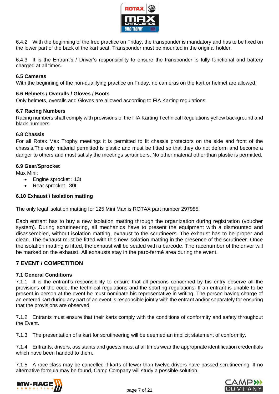

6.4.2 With the beginning of the free practice on Friday, the transponder is mandatory and has to be fixed on the lower part of the back of the kart seat. Transponder must be mounted in the original holder.

6.4.3 It is the Entrant's / Driver's responsibility to ensure the transponder is fully functional and battery charged at all times.

## **6.5 Cameras**

With the beginning of the non-qualifying practice on Friday, no cameras on the kart or helmet are allowed.

#### **6.6 Helmets / Overalls / Gloves / Boots**

Only helmets, overalls and Gloves are allowed according to FIA Karting regulations.

#### **6.7 Racing Numbers**

Racing numbers shall comply with provisions of the FIA Karting Technical Regulations yellow background and black numbers.

#### **6.8 Chassis**

For all Rotax Max Trophy meetings it is permitted to fit chassis protectors on the side and front of the chassis.The only material permitted is plastic and must be fitted so that they do not deform and become a danger to others and must satisfy the meetings scrutineers. No other material other than plastic is permitted.

#### **6.9 Gear/Sprocket**

Max Mini:

- Engine sprocket : 13t
- Rear sprocket : 80t

#### **6.10 Exhaust / Isolation matting**

The only legal isolation matting for 125 Mini Max is ROTAX part number 297985.

Each entrant has to buy a new isolation matting through the organization during registration (voucher system). During scrutineering, all mechanics have to present the equipment with a dismounted and disassembled, without isolation matting, exhaust to the scrutineers. The exhaust has to be proper and clean. The exhaust must be fitted with this new isolation matting in the presence of the scrutineer. Once the isolation matting is fitted, the exhaust will be sealed with a barcode. The racenumber of the driver will be marked on the exhaust. All exhausts stay in the parc-fermé area during the event.

## **7 EVENT / COMPETITION**

#### **7.1 General Conditions**

7.1.1 It is the entrant's responsibility to ensure that all persons concerned by his entry observe all the provisions of the code, the technical regulations and the sporting regulations. If an entrant is unable to be present in person at the event he must nominate his representative in writing. The person having charge of an entered kart during any part of an event is responsible jointly with the entrant and/or separately for ensuring that the provisions are observed.

7.1.2 Entrants must ensure that their karts comply with the conditions of conformity and safety throughout the Event.

7.1.3 The presentation of a kart for scrutineering will be deemed an implicit statement of conformity.

7.1.4 Entrants, drivers, assistants and guests must at all times wear the appropriate identification credentials which have been handed to them.

7.1.5 A race class may be cancelled if karts of fewer than twelve drivers have passed scrutineering. If no alternative formula may be found, Camp Company will study a possible solution.



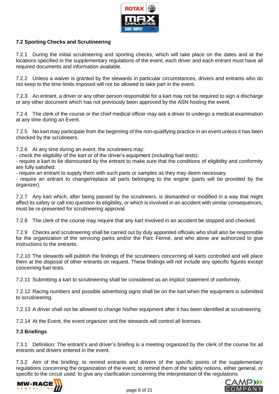

# **7.2 Sporting Checks and Scrutineering**

7.2.1 During the initial scrutineering and sporting checks, which will take place on the dates and at the locations specified in the supplementary regulations of the event, each driver and each entrant must have all required documents and information available.

7.2.2 Unless a waiver is granted by the stewards in particular circumstances, drivers and entrants who do not keep to the time limits imposed will not be allowed to take part in the event.

7.2.3 An entrant, a driver or any other person responsible for a kart may not be required to sign a discharge or any other document which has not previously been approved by the ASN hosting the event.

7.2.4 The clerk of the course or the chief medical officer may ask a driver to undergo a medical examination at any time during an Event.

7.2.5 No kart may participate from the beginning of the non-qualifying practice in an event unless it has been checked by the scrutineers.

7.2.6 At any time during an event, the scrutineers may:

- check the eligibility of the kart or of the driver's equipment (including fuel tests).

- require a kart to be dismounted by the entrant to make sure that the conditions of eligibility and conformity are fully satisfied.

- require an entrant to supply them with such parts or samples as they may deem necessary.

- require an entrant to change/replace all parts belonging to the engine (parts will be provided by the organizer).

7.2.7 Any kart which, after being passed by the scrutineers, is dismantled or modified in a way that might affect its safety or call into question its eligibility, or which is involved in an accident with similar consequences, must be re-presented for scrutineering approval.

7.2.8 The clerk of the course may require that any kart involved in an accident be stopped and checked.

7.2.9 Checks and scrutineering shall be carried out by duly appointed officials who shall also be responsible for the organization of the servicing parks and/or the Parc Fermé, and who alone are authorized to give instructions to the entrants.

7.2.10 The stewards will publish the findings of the scrutineers concerning all karts controlled and will place them at the disposal of other entrants on request. These findings will not include any specific figures except concerning fuel tests.

7.2.11 Submitting a kart to scrutineering shall be considered as an implicit statement of conformity.

7.2.12 Racing numbers and possible advertising signs shall be on the kart when the equipment is submitted to scrutineering.

7.2.13 A driver shall not be allowed to change his/her equipment after it has been identified at scrutineering.

7.2.14 At the Event, the event organizer and the stewards will control all licenses.

## **7.3 Briefings**

7.3.1 Definition: The entrant's and driver's briefing is a meeting organized by the clerk of the course for all entrants and drivers entered in the event.

7.3.2 Aim of the briefing: to remind entrants and drivers of the specific points of the supplementary regulations concerning the organization of the event; to remind them of the safety notions, either general, or specific to the circuit used; to give any clarification concerning the interpretation of the regulations.



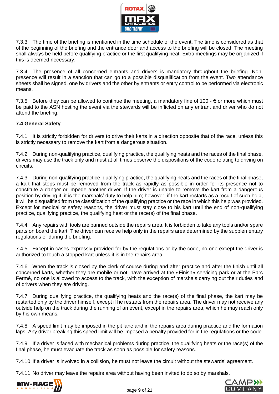

7.3.3 The time of the briefing is mentioned in the time schedule of the event. The time is considered as that of the beginning of the briefing and the entrance door and access to the briefing will be closed. The meeting shall always be held before qualifying practice or the first qualifying heat. Extra meetings may be organized if this is deemed necessary.

7.3.4 The presence of all concerned entrants and drivers is mandatory throughout the briefing. Nonpresence will result in a sanction that can go to a possible disqualification from the event. Two attendance sheets shall be signed, one by drivers and the other by entrants or entry control to be performed via electronic means.

7.3.5 Before they can be allowed to continue the meeting, a mandatory fine of 100,-  $\epsilon$  or more which must be paid to the ASN hosting the event via the stewards will be inflicted on any entrant and driver who do not attend the briefing.

## **7.4 General Safety**

7.4.1 It is strictly forbidden for drivers to drive their karts in a direction opposite that of the race, unless this is strictly necessary to remove the kart from a dangerous situation.

7.4.2 During non-qualifying practice, qualifying practice, the qualifying heats and the races of the final phase, drivers may use the track only and must at all times observe the dispositions of the code relating to driving on circuits.

7.4.3 During non-qualifying practice, qualifying practice, the qualifying heats and the races of the final phase, a kart that stops must be removed from the track as rapidly as possible in order for its presence not to constitute a danger or impede another driver. If the driver is unable to remove the kart from a dangerous position by driving it, it is the marshals' duty to help him; however, if the kart restarts as a result of such help, it will be disqualified from the classification of the qualifying practice or the race in which this help was provided. Except for medical or safety reasons, the driver must stay close to his kart until the end of non-qualifying practice, qualifying practice, the qualifying heat or the race(s) of the final phase.

7.4.4 Any repairs with tools are banned outside the repairs area. It is forbidden to take any tools and/or spare parts on board the kart. The driver can receive help only in the repairs area determined by the supplementary regulations or during the briefing.

7.4.5 Except in cases expressly provided for by the regulations or by the code, no one except the driver is authorized to touch a stopped kart unless it is in the repairs area.

7.4.6 When the track is closed by the clerk of course during and after practice and after the finish until all concerned karts, whether they are mobile or not, have arrived at the «Finish» servicing park or at the Parc Fermé, no one is allowed to access to the track, with the exception of marshals carrying out their duties and of drivers when they are driving.

7.4.7 During qualifying practice, the qualifying heats and the race(s) of the final phase, the kart may be restarted only by the driver himself, except if he restarts from the repairs area. The driver may not receive any outside help on the track during the running of an event, except in the repairs area, which he may reach only by his own means.

7.4.8 A speed limit may be imposed in the pit lane and in the repairs area during practice and the formation laps. Any driver breaking this speed limit will be imposed a penalty provided for in the regulations or the code.

7.4.9 If a driver is faced with mechanical problems during practice, the qualifying heats or the race(s) of the final phase, he must evacuate the track as soon as possible for safety reasons.

7.4.10 If a driver is involved in a collision, he must not leave the circuit without the stewards' agreement.

7.4.11 No driver may leave the repairs area without having been invited to do so by marshals.



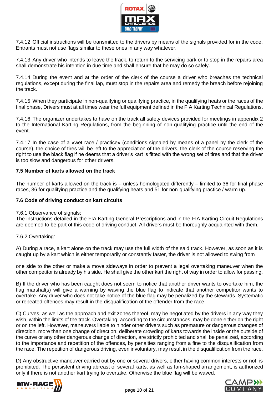

7.4.12 Official instructions will be transmitted to the drivers by means of the signals provided for in the code. Entrants must not use flags similar to these ones in any way whatever.

7.4.13 Any driver who intends to leave the track, to return to the servicing park or to stop in the repairs area shall demonstrate his intention in due time and shall ensure that he may do so safely.

7.4.14 During the event and at the order of the clerk of the course a driver who breaches the technical regulations, except during the final lap, must stop in the repairs area and remedy the breach before rejoining the track.

7.4.15 When they participate in non-qualifying or qualifying practice, in the qualifying heats or the races of the final phase, Drivers must at all times wear the full equipment defined in the FIA Karting Technical Regulations.

7.4.16 The organizer undertakes to have on the track all safety devices provided for meetings in appendix 2 to the International Karting Regulations, from the beginning of non-qualifying practice until the end of the event.

7.4.17 In the case of a «wet race / practice» (conditions signaled by means of a panel by the clerk of the course), the choice of tires will be left to the appreciation of the drivers, the clerk of the course reserving the right to use the black flag if he deems that a driver's kart is fitted with the wrong set of tires and that the driver is too slow and dangerous for other drivers.

## **7.5 Number of karts allowed on the track**

The number of karts allowed on the track is – unless homologated differently – limited to 36 for final phase races, 36 for qualifying practice and the qualifying heats and 51 for non-qualifying practice / warm up.

## **7.6 Code of driving conduct on kart circuits**

#### 7.6.1 Observance of signals:

The instructions detailed in the FIA Karting General Prescriptions and in the FIA Karting Circuit Regulations are deemed to be part of this code of driving conduct. All drivers must be thoroughly acquainted with them.

## 7.6.2 Overtaking:

A) During a race, a kart alone on the track may use the full width of the said track. However, as soon as it is caught up by a kart which is either temporarily or constantly faster, the driver is not allowed to swing from

one side to the other or make a move sideways in order to prevent a legal overtaking maneuver when the other competitor is already by his side. He shall give the other kart the right of way in order to allow for passing.

B) If the driver who has been caught does not seem to notice that another driver wants to overtake him, the flag marshal(s) will give a warning by waving the blue flag to indicate that another competitor wants to overtake. Any driver who does not take notice of the blue flag may be penalized by the stewards. Systematic or repeated offences may result in the disqualification of the offender from the race.

C) Curves, as well as the approach and exit zones thereof, may be negotiated by the drivers in any way they wish, within the limits of the track. Overtaking, according to the circumstances, may be done either on the right or on the left. However, maneuvers liable to hinder other drivers such as premature or dangerous changes of direction, more than one change of direction, deliberate crowding of karts towards the inside or the outside of the curve or any other dangerous change of direction, are strictly prohibited and shall be penalized, according to the importance and repetition of the offences, by penalties ranging from a fine to the disqualification from the race. The repetition of dangerous driving, even involuntary, may result in the disqualification from the race.

D) Any obstructive maneuver carried out by one or several drivers, either having common interests or not, is prohibited. The persistent driving abreast of several karts, as well as fan-shaped arrangement, is authorized only if there is not another kart trying to overtake. Otherwise the blue flag will be waved.



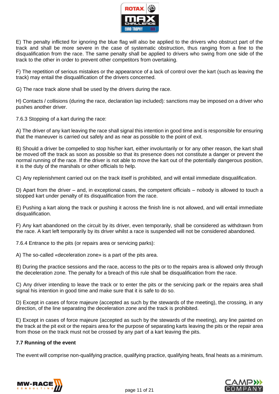

E) The penalty inflicted for ignoring the blue flag will also be applied to the drivers who obstruct part of the track and shall be more severe in the case of systematic obstruction, thus ranging from a fine to the disqualification from the race. The same penalty shall be applied to drivers who swing from one side of the track to the other in order to prevent other competitors from overtaking.

F) The repetition of serious mistakes or the appearance of a lack of control over the kart (such as leaving the track) may entail the disqualification of the drivers concerned.

G) The race track alone shall be used by the drivers during the race.

H) Contacts / collisions (during the race, declaration lap included): sanctions may be imposed on a driver who pushes another driver.

7.6.3 Stopping of a kart during the race:

A) The driver of any kart leaving the race shall signal this intention in good time and is responsible for ensuring that the maneuver is carried out safely and as near as possible to the point of exit.

B) Should a driver be compelled to stop his/her kart, either involuntarily or for any other reason, the kart shall be moved off the track as soon as possible so that its presence does not constitute a danger or prevent the normal running of the race. If the driver is not able to move the kart out of the potentially dangerous position, it is the duty of the marshals or other officials to help.

C) Any replenishment carried out on the track itself is prohibited, and will entail immediate disqualification.

D) Apart from the driver – and, in exceptional cases, the competent officials – nobody is allowed to touch a stopped kart under penalty of its disqualification from the race.

E) Pushing a kart along the track or pushing it across the finish line is not allowed, and will entail immediate disqualification.

F) Any kart abandoned on the circuit by its driver, even temporarily, shall be considered as withdrawn from the race. A kart left temporarily by its driver whilst a race is suspended will not be considered abandoned.

7.6.4 Entrance to the pits (or repairs area or servicing parks):

A) The so-called «deceleration zone» is a part of the pits area.

B) During the practice sessions and the race, access to the pits or to the repairs area is allowed only through the deceleration zone. The penalty for a breach of this rule shall be disqualification from the race.

C) Any driver intending to leave the track or to enter the pits or the servicing park or the repairs area shall signal his intention in good time and make sure that it is safe to do so.

D) Except in cases of force majeure (accepted as such by the stewards of the meeting), the crossing, in any direction, of the line separating the deceleration zone and the track is prohibited.

E) Except in cases of force majeure (accepted as such by the stewards of the meeting), any line painted on the track at the pit exit or the repairs area for the purpose of separating karts leaving the pits or the repair area from those on the track must not be crossed by any part of a kart leaving the pits.

# **7.7 Running of the event**

The event will comprise non-qualifying practice, qualifying practice, qualifying heats, final heats as a minimum.



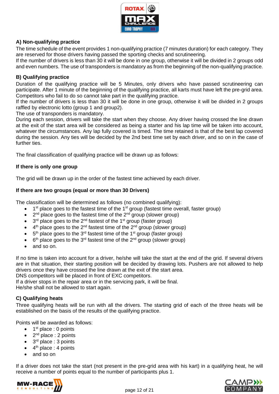

# **A) Non-qualifying practice**

The time schedule of the event provides 1 non-qualifying practice (7 minutes duration) for each category. They are reserved for those drivers having passed the sporting checks and scrutineering.

If the number of drivers is less than 30 it will be done in one group, otherwise it will be divided in 2 groups odd and even numbers. The use of transponders is mandatory as from the beginning of the non-qualifying practice.

## **B) Qualifying practice**

Duration of the qualifying practice will be 5 Minutes, only drivers who have passed scrutineering can participate. After 1 minute of the beginning of the qualifying practice, all karts must have left the pre-grid area. Competitors who fail to do so cannot take part in the qualifying practice.

If the number of drivers is less than 30 it will be done in one group, otherwise it will be divided in 2 groups raffled by electronic lotto (group 1 and group2).

The use of transponders is mandatory.

During each session, drivers will take the start when they choose. Any driver having crossed the line drawn at the exit of the start area will be considered as being a starter and his lap time will be taken into account, whatever the circumstances. Any lap fully covered is timed. The time retained is that of the best lap covered during the session. Any ties will be decided by the 2nd best time set by each driver, and so on in the case of further ties.

The final classification of qualifying practice will be drawn up as follows:

## **If there is only one group**

The grid will be drawn up in the order of the fastest time achieved by each driver.

## **If there are two groups (equal or more than 30 Drivers)**

The classification will be determined as follows (no combined qualifying):

- $\bullet$  1<sup>st</sup> place goes to the fastest time of the 1<sup>st</sup> group (fastest time overall, faster group)
- $\bullet$  2<sup>nd</sup> place goes to the fastest time of the 2<sup>nd</sup> group (slower group)
- $\bullet$  3<sup>rd</sup> place goes to the 2<sup>nd</sup> fastest of the 1<sup>st</sup> group (faster group)
- $\bullet$  4<sup>th</sup> place goes to the 2<sup>nd</sup> fastest time of the 2<sup>nd</sup> group (slower group)
- $\bullet$  5<sup>th</sup> place goes to the 3<sup>rd</sup> fastest time of the 1<sup>st</sup> group (faster group)
- $\bullet$  6<sup>th</sup> place goes to the 3<sup>rd</sup> fastest time of the 2<sup>nd</sup> group (slower group)
- and so on.

If no time is taken into account for a driver, he/she will take the start at the end of the grid. If several drivers are in that situation, their starting position will be decided by drawing lots. Pushers are not allowed to help drivers once they have crossed the line drawn at the exit of the start area.

DNS competitors will be placed in front of EXC competitors.

If a driver stops in the repair area or in the servicing park, it will be final.

He/she shall not be allowed to start again.

# **C) Qualifying heats**

Three qualifying heats will be run with all the drivers. The starting grid of each of the three heats will be established on the basis of the results of the qualifying practice.

Points will be awarded as follows:

- $\bullet$  1<sup>st</sup> place : 0 points
- $2<sup>nd</sup>$  place : 2 points
- 3<sup>rd</sup> place : 3 points
- $\bullet$  4<sup>th</sup> place : 4 points
- and so on

If a driver does not take the start (not present in the pre-grid area with his kart) in a qualifying heat, he will receive a number of points equal to the number of participants plus 1.



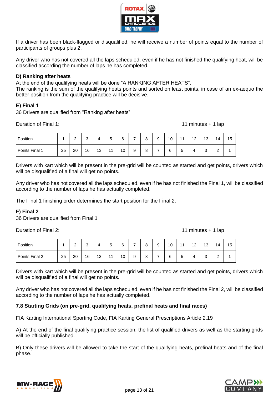

If a driver has been black-flagged or disqualified, he will receive a number of points equal to the number of participants of groups plus 2.

Any driver who has not covered all the laps scheduled, even if he has not finished the qualifying heat, will be classified according the number of laps he has completed.

## **D) Ranking after heats**

At the end of the qualifying heats will be done "A RANKING AFTER HEATS". The ranking is the sum of the qualifying heats points and sorted on least points, in case of an ex-aequo the better position from the qualifying practice will be decisive.

#### **E) Final 1**

36 Drivers are qualified from "Ranking after heats".

Duration of Final 1: 11 minutes + 1 lap

| Position       |    | $\sqrt{2}$<br>- | $\sim$<br>ບ | 4  | -<br>∽<br>J    | 6  | ⇁ | 8 | 9 | 10 | 44          | 12 | 13          | 14     | 15 |
|----------------|----|-----------------|-------------|----|----------------|----|---|---|---|----|-------------|----|-------------|--------|----|
| Points Final 1 | 25 | 20              | 16          | 13 | $\overline{A}$ | 10 | 9 | 8 | ⇁ | 6  | -<br>∽<br>ັ | 4  | $\sim$<br>J | ⌒<br>- |    |

Drivers with kart which will be present in the pre-grid will be counted as started and get points, drivers which will be disqualified of a final will get no points.

Any driver who has not covered all the laps scheduled, even if he has not finished the Final 1, will be classified according to the number of laps he has actually completed.

The Final 1 finishing order determines the start position for the Final 2.

# **F) Final 2**

36 Drivers are qualified from Final 1

Duration of Final 2: 11 minutes + 1 lap

| Position       |    | ⌒<br><u>.</u> | ⌒<br>ບ |    | -<br>∽<br>ັ    | 6  | - | Ω<br>o        | a<br>ັ | 10 | $\overline{44}$ | $\sqrt{2}$<br>ΙZ | 12<br>ιJ        | 14          | 15 |
|----------------|----|---------------|--------|----|----------------|----|---|---------------|--------|----|-----------------|------------------|-----------------|-------------|----|
| Points Final 2 | 25 | 20            | 16     | 13 | $\overline{A}$ | 10 | 9 | $\Omega$<br>O | -      | 6  | -<br>∽<br>ັ     | 4                | $\sqrt{2}$<br>ບ | $\sim$<br>- |    |

Drivers with kart which will be present in the pre-grid will be counted as started and get points, drivers which will be disqualified of a final will get no points.

Any driver who has not covered all the laps scheduled, even if he has not finished the Final 2, will be classified according to the number of laps he has actually completed.

## **7.8 Starting Grids (on pre-grid, qualifying heats, prefinal heats and final races)**

FIA Karting International Sporting Code, FIA Karting General Prescriptions Article 2.19

A) At the end of the final qualifying practice session, the list of qualified drivers as well as the starting grids will be officially published.

B) Only these drivers will be allowed to take the start of the qualifying heats, prefinal heats and of the final phase.



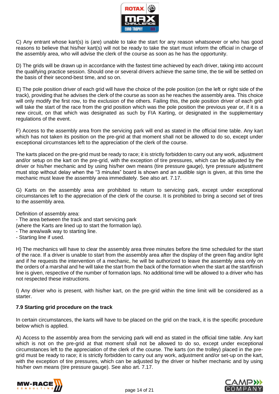

C) Any entrant whose kart(s) is (are) unable to take the start for any reason whatsoever or who has good reasons to believe that his/her kart(s) will not be ready to take the start must inform the official in charge of the assembly area, who will advise the clerk of the course as soon as he has the opportunity.

D) The grids will be drawn up in accordance with the fastest time achieved by each driver, taking into account the qualifying practice session. Should one or several drivers achieve the same time, the tie will be settled on the basis of their second-best time, and so on.

E) The pole position driver of each grid will have the choice of the pole position (on the left or right side of the track), providing that he advises the clerk of the course as soon as he reaches the assembly area. This choice will only modify the first row, to the exclusion of the others. Failing this, the pole position driver of each grid will take the start of the race from the grid position which was the pole position the previous year or, if it is a new circuit, on that which was designated as such by FIA Karting, or designated in the supplementary regulations of the event.

F) Access to the assembly area from the servicing park will end as stated in the official time table. Any kart which has not taken its position on the pre-grid at that moment shall not be allowed to do so, except under exceptional circumstances left to the appreciation of the clerk of the course.

The karts placed on the pre-grid must be ready to race; it is strictly forbidden to carry out any work, adjustment and/or setup on the kart on the pre-grid, with the exception of tire pressures, which can be adjusted by the driver or his/her mechanic and by using his/her own means (tire pressure gauge), tyre pressure adjustment must stop without delay when the "3 minutes" board is shown and an audible sign is given, at this time the mechanic must leave the assembly area immediately. See also art. 7.17.

G) Karts on the assembly area are prohibited to return to servicing park, except under exceptional circumstances left to the appreciation of the clerk of the course. It is prohibited to bring a second set of tires to the assembly area.

Definition of assembly area:

- The area between the track and start servicing park

(where the Karts are lined up to start the formation lap).

- The area/walk way to starting line.
- Starting line if used.

H) The mechanics will have to clear the assembly area three minutes before the time scheduled for the start of the race. If a driver is unable to start from the assembly area after the display of the green flag and/or light and if he requests the intervention of a mechanic, he will be authorized to leave the assembly area only on the orders of a marshal and he will take the start from the back of the formation when the start at the start/finish line is given, respective of the number of formation laps. No additional time will be allowed to a driver who has not respected these instructions.

I) Any driver who is present, with his/her kart, on the pre-grid within the time limit will be considered as a starter.

# **7.9 Starting grid procedure on the track**

In certain circumstances, the karts will have to be placed on the grid on the track, it is the specific procedure below which is applied.

A) Access to the assembly area from the servicing park will end as stated in the official time table. Any kart which is not on the pre-grid at that moment shall not be allowed to do so, except under exceptional circumstances left to the appreciation of the clerk of the course. The karts (on the trolley) placed in the pregrid must be ready to race; it is strictly forbidden to carry out any work, adjustment and/or set-up on the kart, with the exception of tire pressures, which can be adjusted by the driver or his/her mechanic and by using his/her own means (tire pressure gauge). See also art. 7.17.



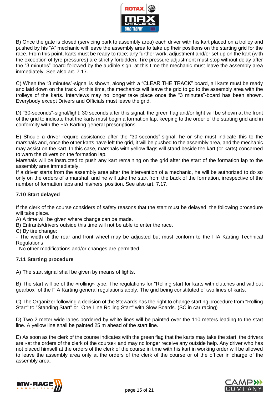

B) Once the gate is closed (servicing park to assembly area) each driver with his kart placed on a trolley and pushed by his "A" mechanic will leave the assembly area to take up their positions on the starting grid for the race. From this point, karts must be ready to race; any further work, adjustment and/or set up on the kart (with the exception of tyre pressures) are strictly forbidden. Tire pressure adjustment must stop without delay after the "3 minutes"-board followed by the audible sign, at this time the mechanic must leave the assembly area immediately. See also art. 7.17.

C) When the "3 minutes"-signal is shown, along with a "CLEAR THE TRACK" board, all karts must be ready and laid down on the track. At this time, the mechanics will leave the grid to go to the assembly area with the trolleys of the karts. Interviews may no longer take place once the "3 minutes"-board has been shown. Everybody except Drivers and Officials must leave the grid.

D) "30-seconds"-signal/light: 30 seconds after this signal, the green flag and/or light will be shown at the front of the grid to indicate that the karts must begin a formation lap, keeping to the order of the starting grid and in conformity with the FIA Karting general prescriptions.

E) Should a driver require assistance after the "30-seconds"-signal, he or she must indicate this to the marshals and, once the other karts have left the grid, it will be pushed to the assembly area, and the mechanic may assist on the kart. In this case, marshals with yellow flags will stand beside the kart (or karts) concerned to warn the drivers on the formation lap.

Marshals will be instructed to push any kart remaining on the grid after the start of the formation lap to the assembly area immediately.

If a driver starts from the assembly area after the intervention of a mechanic, he will be authorized to do so only on the orders of a marshal, and he will take the start from the back of the formation, irrespective of the number of formation laps and his/hers' position. See also art. 7.17.

# **7.10 Start delayed**

If the clerk of the course considers of safety reasons that the start must be delayed, the following procedure will take place.

A) A time will be given where change can be made.

B) Entrants/drivers outside this time will not be able to enter the race.

C) By tire change:

- The width of the rear and front wheel may be adjusted but must conform to the FIA Karting Technical **Regulations** 

- No other modifications and/or changes are permitted.

## **7.11 Starting procedure**

A) The start signal shall be given by means of lights.

B) The start will be of the «rolling» type. The regulations for "Rolling start for karts with clutches and without gearbox" of the FIA Karting general regulations apply. The grid being constituted of two lines of karts.

C) The Organizer following a decision of the Stewards has the right to change starting procedure from "Rolling Start" to "Standing Start" or "One Line Rolling Start" with Slow Boards. (SC in car racing)

D) Two 2-meter wide lanes bordered by white lines will be painted over the 110 meters leading to the start line. A yellow line shall be painted 25 m ahead of the start line.

E) As soon as the clerk of the course indicates with the green flag that the karts may take the start, the drivers are «at the orders of the clerk of the course» and may no longer receive any outside help. Any driver who has not placed himself at the orders of the clerk of the course in time with his kart in working order will be allowed to leave the assembly area only at the orders of the clerk of the course or of the officer in charge of the assembly area.



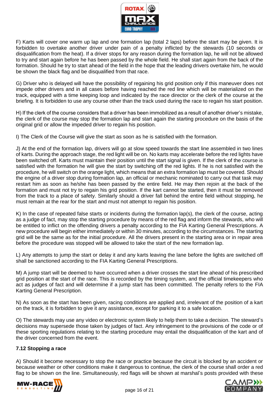

F) Karts will cover one warm up lap and one formation lap (total 2 laps) before the start may be given. It is forbidden to overtake another driver under pain of a penalty inflicted by the stewards (10 seconds or disqualification from the heat). If a driver stops for any reason during the formation lap, he will not be allowed to try and start again before he has been passed by the whole field. He shall start again from the back of the formation. Should he try to start ahead of the field in the hope that the leading drivers overtake him, he would be shown the black flag and be disqualified from that race.

G) Driver who is delayed will have the possibility of regaining his grid position only if this maneuver does not impede other drivers and in all cases before having reached the red line which will be materialized on the track, equipped with a time keeping loop and indicated by the race director or the clerk of the course at the briefing. It is forbidden to use any course other than the track used during the race to regain his start position.

H) If the clerk of the course considers that a driver has been immobilized as a result of another driver's mistake, the clerk of the course may stop the formation lap and start again the starting procedure on the basis of the original grid or allow the impeded driver to regain his position.

I) The Clerk of the Course will give the start as soon as he is satisfied with the formation.

J) At the end of the formation lap, drivers will go at slow speed towards the start line assembled in two lines of karts. During the approach stage, the red light will be on. No karts may accelerate before the red lights have been switched off. Karts must maintain their position until the start signal is given. If the clerk of the course is satisfied with the formation he will give the start by switching off the red lights. If he is not satisfied with the procedure, he will switch on the orange light, which means that an extra formation lap must be covered. Should the engine of a driver stop during formation lap, an official or mechanic nominated to carry out that task may restart him as soon as he/she has been passed by the entire field. He may then rejoin at the back of the formation and must not try to regain his grid position. If the kart cannot be started, then it must be removed from the track to a place of safety. Similarly should a driver fall behind the entire field without stopping, he must remain at the rear for the start and must not attempt to regain his position.

K) In the case of repeated false starts or incidents during the formation lap(s), the clerk of the course, acting as a judge of fact, may stop the starting procedure by means of the red flag and inform the stewards, who will be entitled to inflict on the offending drivers a penalty according to the FIA Karting General Prescriptions. A new procedure will begin either immediately or within 30 minutes, according to the circumstances. The starting grid will be the same as for the initial procedure. All the drivers present in the starting area or in repair area before the procedure was stopped will be allowed to take the start of the new formation lap.

L) Any attempts to jump the start or delay it and any karts leaving the lane before the lights are switched off shall be sanctioned according to the FIA Karting General Prescriptions.

M) A jump start will be deemed to have occurred when a driver crosses the start line ahead of his prescribed grid position at the start of the race. This is recorded by the timing system, and the official timekeepers who act as judges of fact and will determine if a jump start has been committed. The penalty refers to the FIA Karting General Prescription.

N) As soon as the start has been given, racing conditions are applied and, irrelevant of the position of a kart on the track, it is forbidden to give it any assistance, except for parking it to a safe location.

O) The stewards may use any video or electronic system likely to help them to take a decision. The steward's decisions may supersede those taken by judges of fact. Any infringement to the provisions of the code or of these sporting regulations relating to the starting procedure may entail the disqualification of the kart and of the driver concerned from the event.

## **7.12 Stopping a race**

A) Should it become necessary to stop the race or practice because the circuit is blocked by an accident or because weather or other conditions make it dangerous to continue, the clerk of the course shall order a red flag to be shown on the line. Simultaneously, red flags will be shown at marshal's posts provided with these



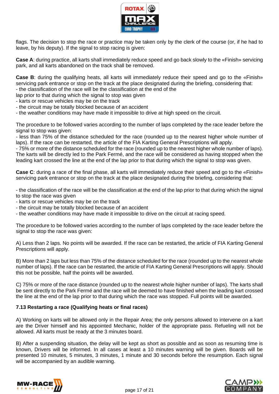

flags. The decision to stop the race or practice may be taken only by the clerk of the course (or, if he had to leave, by his deputy). If the signal to stop racing is given:

**Case A**: during practice, all karts shall immediately reduce speed and go back slowly to the «Finish» servicing park, and all karts abandoned on the track shall be removed.

**Case B**: during the qualifying heats, all karts will immediately reduce their speed and go to the «Finish» servicing park entrance or stop on the track at the place designated during the briefing, considering that: - the classification of the race will be the classification at the end of the

lap prior to that during which the signal to stop was given

- karts or rescue vehicles may be on the track

- the circuit may be totally blocked because of an accident

- the weather conditions may have made it impossible to drive at high speed on the circuit.

The procedure to be followed varies according to the number of laps completed by the race leader before the signal to stop was given:

- less than 75% of the distance scheduled for the race (rounded up to the nearest higher whole number of laps). If the race can be restarted, the article of the FIA Karting General Prescriptions will apply.

- 75% or more of the distance scheduled for the race (rounded up to the nearest higher whole number of laps). The karts will be directly led to the Park Fermé, and the race will be considered as having stopped when the leading kart crossed the line at the end of the lap prior to that during which the signal to stop was given.

**Case C**: during a race of the final phase, all karts will immediately reduce their speed and go to the «Finish» servicing park entrance or stop on the track at the place designated during the briefing, considering that:

- the classification of the race will be the classification at the end of the lap prior to that during which the signal to stop the race was given

- karts or rescue vehicles may be on the track
- the circuit may be totally blocked because of an accident

- the weather conditions may have made it impossible to drive on the circuit at racing speed.

The procedure to be followed varies according to the number of laps completed by the race leader before the signal to stop the race was given:

A) Less than 2 laps. No points will be awarded. If the race can be restarted, the article of FIA Karting General Prescriptions will apply.

B) More than 2 laps but less than 75% of the distance scheduled for the race (rounded up to the nearest whole number of laps). If the race can be restarted, the article of FIA Karting General Prescriptions will apply. Should this not be possible, half the points will be awarded.

C) 75% or more of the race distance (rounded up to the nearest whole higher number of laps). The karts shall be sent directly to the Park Fermé and the race will be deemed to have finished when the leading kart crossed the line at the end of the lap prior to that during which the race was stopped. Full points will be awarded.

## **7.13 Restarting a race (Qualifying heats or final races)**

A) Working on karts will be allowed only in the Repair Area; the only persons allowed to intervene on a kart are the Driver himself and his appointed Mechanic, holder of the appropriate pass. Refueling will not be allowed. All karts must be ready at the 3 minutes board.

B) After a suspending situation, the delay will be kept as short as possible and as soon as resuming time is known, Drivers will be informed. In all cases at least a 10 minutes warning will be given. Boards will be presented 10 minutes, 5 minutes, 3 minutes, 1 minute and 30 seconds before the resumption. Each signal will be accompanied by an audible warning.



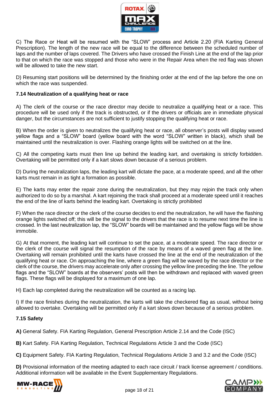

C) The Race or Heat will be resumed with the "SLOW" process and Article 2.20 (FIA Karting General Prescription). The length of the new race will be equal to the difference between the scheduled number of laps and the number of laps covered. The Drivers who have crossed the Finish Line at the end of the lap prior to that on which the race was stopped and those who were in the Repair Area when the red flag was shown will be allowed to take the new start.

D) Resuming start positions will be determined by the finishing order at the end of the lap before the one on which the race was suspended.

## **7.14 Neutralization of a qualifying heat or race**

A) The clerk of the course or the race director may decide to neutralize a qualifying heat or a race. This procedure will be used only if the track is obstructed, or if the drivers or officials are in immediate physical danger, but the circumstances are not sufficient to justify stopping the qualifying heat or race.

B) When the order is given to neutralizes the qualifying heat or race, all observer's posts will display waved yellow flags and a "SLOW" board (yellow board with the word "SLOW" written in black), which shall be maintained until the neutralization is over. Flashing orange lights will be switched on at the line.

C) All the competing karts must then line up behind the leading kart, and overtaking is strictly forbidden. Overtaking will be permitted only if a kart slows down because of a serious problem.

D) During the neutralization laps, the leading kart will dictate the pace, at a moderate speed, and all the other karts must remain in as tight a formation as possible.

E) The karts may enter the repair zone during the neutralization, but they may rejoin the track only when authorized to do so by a marshal. A kart rejoining the track shall proceed at a moderate speed until it reaches the end of the line of karts behind the leading kart. Overtaking is strictly prohibited

F) When the race director or the clerk of the course decides to end the neutralization, he will have the flashing orange lights switched off; this will be the signal to the drivers that the race is to resume next time the line is crossed. In the last neutralization lap, the "SLOW" boards will be maintained and the yellow flags will be show immobile.

G) At that moment, the leading kart will continue to set the pace, at a moderate speed. The race director or the clerk of the course will signal the resumption of the race by means of a waved green flag at the line. Overtaking will remain prohibited until the karts have crossed the line at the end of the neutralization of the qualifying heat or race. On approaching the line, where a green flag will be waved by the race director or the clerk of the course, the drivers may accelerate only after crossing the yellow line preceding the line. The yellow flags and the "SLOW" boards at the observers' posts will then be withdrawn and replaced with waved green flags. These flags will be displayed for a maximum of one lap.

H) Each lap completed during the neutralization will be counted as a racing lap.

I) If the race finishes during the neutralization, the karts will take the checkered flag as usual, without being allowed to overtake. Overtaking will be permitted only if a kart slows down because of a serious problem.

## **7.15 Safety**

**A)** General Safety. FIA Karting Regulation, General Prescription Article 2.14 and the Code (ISC)

**B)** Kart Safety. FIA Karting Regulation, Technical Regulations Article 3 and the Code (ISC)

**C)** Equipment Safety. FIA Karting Regulation, Technical Regulations Article 3 and 3.2 and the Code (ISC)

**D)** Provisional information of the meeting adapted to each race circuit / track license agreement / conditions. Additional information will be available in the Event Supplementary Regulations.



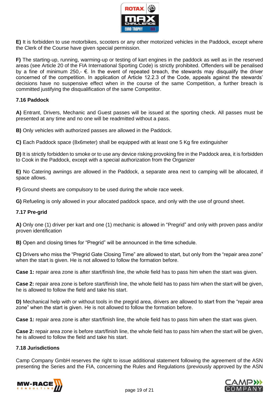

**E)** It is forbidden to use motorbikes, scooters or any other motorized vehicles in the Paddock, except where the Clerk of the Course have given special permission.

**F)** The starting-up, running, warming-up or testing of kart engines in the paddock as well as in the reserved areas (see Article 20 of the FIA International Sporting Code) is strictly prohibited. Offenders will be penalised by a fine of minimum 250,- €. In the event of repeated breach, the stewards may disqualify the driver concerned of the competition. In application of Article 12.2.3 of the Code, appeals against the stewards' decisions have no suspensive effect when in the course of the same Competition, a further breach is committed justifying the disqualification of the same Competitor.

## **7.16 Paddock**

**A)** Entrant, Drivers, Mechanic and Guest passes will be issued at the sporting check. All passes must be presented at any time and no one will be readmitted without a pass.

**B)** Only vehicles with authorized passes are allowed in the Paddock.

**C)** Each Paddock space (8x6meter) shall be equipped with at least one 5 Kg fire extinguisher

**D)** It is strictly forbidden to smoke or to use any device risking provoking fire in the Paddock area, it is forbidden to Cook in the Paddock, except with a special authorization from the Organizer

**E)** No Catering awnings are allowed in the Paddock, a separate area next to camping will be allocated, if space allows.

**F)** Ground sheets are compulsory to be used during the whole race week.

**G)** Refueling is only allowed in your allocated paddock space, and only with the use of ground sheet.

## **7.17 Pre-grid**

**A)** Only one (1) driver per kart and one (1) mechanic is allowed in "Pregrid" and only with proven pass and/or proven identification

**B)** Open and closing times for "Pregrid" will be announced in the time schedule.

**C)** Drivers who miss the "Pregrid Gate Closing Time" are allowed to start, but only from the "repair area zone" when the start is given. He is not allowed to follow the formation before.

**Case 1:** repair area zone is after start/finish line, the whole field has to pass him when the start was given.

**Case 2:** repair area zone is before start/finish line, the whole field has to pass him when the start will be given, he is allowed to follow the field and take his start.

**D)** Mechanical help with or without tools in the pregrid area, drivers are allowed to start from the "repair area zone" when the start is given. He is not allowed to follow the formation before.

**Case 1:** repair area zone is after start/finish line, the whole field has to pass him when the start was given.

**Case 2:** repair area zone is before start/finish line, the whole field has to pass him when the start will be given, he is allowed to follow the field and take his start.

## **7.18 Jurisdictions**

Camp Company GmbH reserves the right to issue additional statement following the agreement of the ASN presenting the Series and the FIA, concerning the Rules and Regulations (previously approved by the ASN



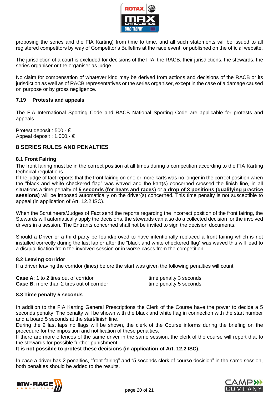

proposing the series and the FIA Karting) from time to time, and all such statements will be issued to all registered competitors by way of Competitor's Bulletins at the race event, or published on the official website.

The jurisdiction of a court is excluded for decisions of the FIA, the RACB, their jurisdictions, the stewards, the series organiser or the organiser as judge.

No claim for compensation of whatever kind may be derived from actions and decisions of the RACB or its jurisdiction as well as of RACB representatives or the series organiser, except in the case of a damage caused on purpose or by gross negligence.

#### **7.19 Protests and appeals**

The FIA International Sporting Code and RACB National Sporting Code are applicable for protests and appeals.

Protest deposit : 500,- € Appeal deposit : 1.000,- €

## **8 SERIES RULES AND PENALTIES**

#### **8.1 Front Fairing**

The front fairing must be in the correct position at all times during a competition according to the FIA Karting technical regulations.

If the judge of fact reports that the front fairing on one or more karts was no longer in the correct position when the "black and white checkered flag" was waved and the kart(s) concerned crossed the finish line, in all situations a time penalty of **5 seconds (for heats and races)** or **a drop of 3 positions (qualifying practice sessions)** will be imposed automatically on the driver(s) concerned. This time penalty is not susceptible to appeal (in application of Art. 12.2 ISC).

When the Scrutineers/Judges of Fact send the reports regarding the incorrect position of the front fairing, the Stewards will automatically apply the decisions, the stewards can also do a collected decision for the involved drivers in a session. The Entrants concerned shall not be invited to sign the decision documents.

Should a Driver or a third party be found/proved to have intentionally replaced a front fairing which is not installed correctly during the last lap or after the "black and white checkered flag" was waved this will lead to a disqualification from the involved session or in worse cases from the competition.

#### **8.2 Leaving corridor**

If a driver leaving the corridor (lines) before the start was given the following penalties will count.

**Case A:** 1 to 2 tires out of corridor the seconds time penalty 3 seconds **Case B:** more than 2 tires out of corridor the state time penalty 5 seconds

#### **8.3 Time penalty 5 seconds**

In addition to the FIA Karting General Prescriptions the Clerk of the Course have the power to decide a 5 seconds penalty. The penalty will be shown with the black and white flag in connection with the start number and a board 5 seconds at the start/finish line.

During the 2 last laps no flags will be shown, the clerk of the Course informs during the briefing on the procedure for the imposition and notification of these penalties.

If there are more offences of the same driver in the same session, the clerk of the course will report that to the stewards for possible further punishment.

**It is not possible to protest these decisions (in application of Art. 12.2 ISC).**

In case a driver has 2 penalties, "front fairing" and "5 seconds clerk of course decision" in the same session, both penalties should be added to the results.